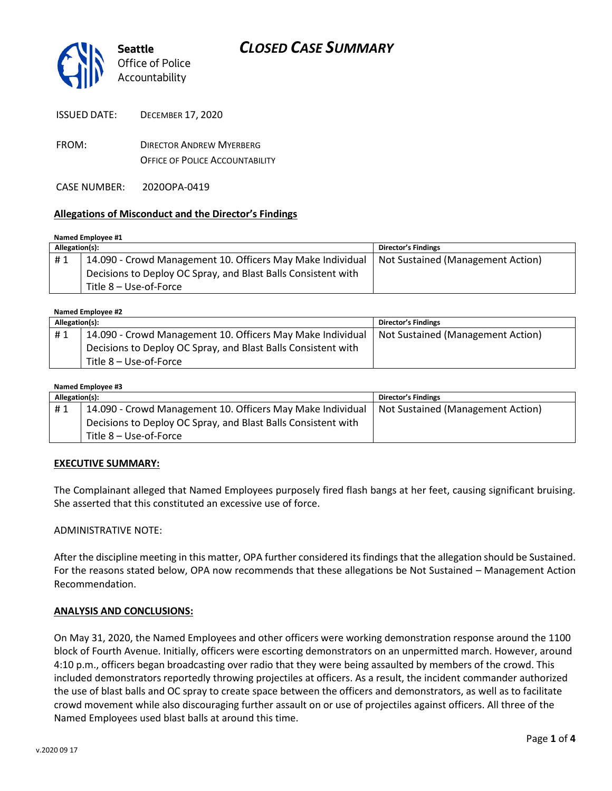

FROM: DIRECTOR ANDREW MYERBERG OFFICE OF POLICE ACCOUNTABILITY

CASE NUMBER: 2020OPA-0419

## **Allegations of Misconduct and the Director's Findings**

#### **Named Employee #1**

| Allegation(s): |                                                               | <b>Director's Findings</b>        |
|----------------|---------------------------------------------------------------|-----------------------------------|
| #1             | 14.090 - Crowd Management 10. Officers May Make Individual    | Not Sustained (Management Action) |
|                | Decisions to Deploy OC Spray, and Blast Balls Consistent with |                                   |
|                | Title 8 – Use-of-Force                                        |                                   |

| Named Employee #2 |                                                               |                                   |  |  |
|-------------------|---------------------------------------------------------------|-----------------------------------|--|--|
| Allegation(s):    |                                                               | <b>Director's Findings</b>        |  |  |
| #1                | 14.090 - Crowd Management 10. Officers May Make Individual    | Not Sustained (Management Action) |  |  |
|                   | Decisions to Deploy OC Spray, and Blast Balls Consistent with |                                   |  |  |
|                   | Title 8 - Use-of-Force                                        |                                   |  |  |

#### **Named Employee #3**

| Allegation(s): |                                                               | Director's Findings               |
|----------------|---------------------------------------------------------------|-----------------------------------|
| #1             | 14.090 - Crowd Management 10. Officers May Make Individual    | Not Sustained (Management Action) |
|                | Decisions to Deploy OC Spray, and Blast Balls Consistent with |                                   |
|                | Title 8 – Use-of-Force                                        |                                   |

### **EXECUTIVE SUMMARY:**

The Complainant alleged that Named Employees purposely fired flash bangs at her feet, causing significant bruising. She asserted that this constituted an excessive use of force.

### ADMINISTRATIVE NOTE:

After the discipline meeting in this matter, OPA further considered its findings that the allegation should be Sustained. For the reasons stated below, OPA now recommends that these allegations be Not Sustained – Management Action Recommendation.

### **ANALYSIS AND CONCLUSIONS:**

On May 31, 2020, the Named Employees and other officers were working demonstration response around the 1100 block of Fourth Avenue. Initially, officers were escorting demonstrators on an unpermitted march. However, around 4:10 p.m., officers began broadcasting over radio that they were being assaulted by members of the crowd. This included demonstrators reportedly throwing projectiles at officers. As a result, the incident commander authorized the use of blast balls and OC spray to create space between the officers and demonstrators, as well as to facilitate crowd movement while also discouraging further assault on or use of projectiles against officers. All three of the Named Employees used blast balls at around this time.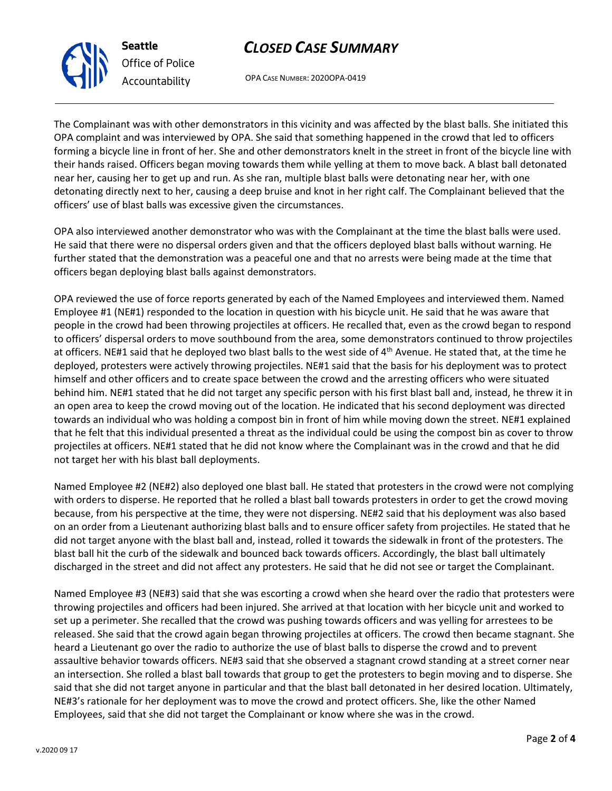# *CLOSED CASE SUMMARY*

OPA CASE NUMBER: 2020OPA-0419

The Complainant was with other demonstrators in this vicinity and was affected by the blast balls. She initiated this OPA complaint and was interviewed by OPA. She said that something happened in the crowd that led to officers forming a bicycle line in front of her. She and other demonstrators knelt in the street in front of the bicycle line with their hands raised. Officers began moving towards them while yelling at them to move back. A blast ball detonated near her, causing her to get up and run. As she ran, multiple blast balls were detonating near her, with one detonating directly next to her, causing a deep bruise and knot in her right calf. The Complainant believed that the officers' use of blast balls was excessive given the circumstances.

OPA also interviewed another demonstrator who was with the Complainant at the time the blast balls were used. He said that there were no dispersal orders given and that the officers deployed blast balls without warning. He further stated that the demonstration was a peaceful one and that no arrests were being made at the time that officers began deploying blast balls against demonstrators.

OPA reviewed the use of force reports generated by each of the Named Employees and interviewed them. Named Employee #1 (NE#1) responded to the location in question with his bicycle unit. He said that he was aware that people in the crowd had been throwing projectiles at officers. He recalled that, even as the crowd began to respond to officers' dispersal orders to move southbound from the area, some demonstrators continued to throw projectiles at officers. NE#1 said that he deployed two blast balls to the west side of 4<sup>th</sup> Avenue. He stated that, at the time he deployed, protesters were actively throwing projectiles. NE#1 said that the basis for his deployment was to protect himself and other officers and to create space between the crowd and the arresting officers who were situated behind him. NE#1 stated that he did not target any specific person with his first blast ball and, instead, he threw it in an open area to keep the crowd moving out of the location. He indicated that his second deployment was directed towards an individual who was holding a compost bin in front of him while moving down the street. NE#1 explained that he felt that this individual presented a threat as the individual could be using the compost bin as cover to throw projectiles at officers. NE#1 stated that he did not know where the Complainant was in the crowd and that he did not target her with his blast ball deployments.

Named Employee #2 (NE#2) also deployed one blast ball. He stated that protesters in the crowd were not complying with orders to disperse. He reported that he rolled a blast ball towards protesters in order to get the crowd moving because, from his perspective at the time, they were not dispersing. NE#2 said that his deployment was also based on an order from a Lieutenant authorizing blast balls and to ensure officer safety from projectiles. He stated that he did not target anyone with the blast ball and, instead, rolled it towards the sidewalk in front of the protesters. The blast ball hit the curb of the sidewalk and bounced back towards officers. Accordingly, the blast ball ultimately discharged in the street and did not affect any protesters. He said that he did not see or target the Complainant.

Named Employee #3 (NE#3) said that she was escorting a crowd when she heard over the radio that protesters were throwing projectiles and officers had been injured. She arrived at that location with her bicycle unit and worked to set up a perimeter. She recalled that the crowd was pushing towards officers and was yelling for arrestees to be released. She said that the crowd again began throwing projectiles at officers. The crowd then became stagnant. She heard a Lieutenant go over the radio to authorize the use of blast balls to disperse the crowd and to prevent assaultive behavior towards officers. NE#3 said that she observed a stagnant crowd standing at a street corner near an intersection. She rolled a blast ball towards that group to get the protesters to begin moving and to disperse. She said that she did not target anyone in particular and that the blast ball detonated in her desired location. Ultimately, NE#3's rationale for her deployment was to move the crowd and protect officers. She, like the other Named Employees, said that she did not target the Complainant or know where she was in the crowd.



**Seattle**

*Office of Police Accountability*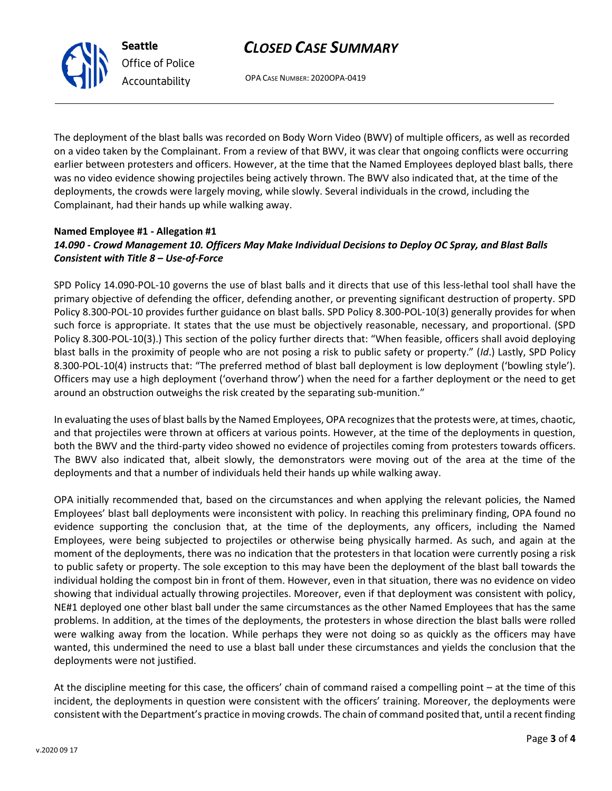## *CLOSED CASE SUMMARY*



OPA CASE NUMBER: 2020OPA-0419

The deployment of the blast balls was recorded on Body Worn Video (BWV) of multiple officers, as well as recorded on a video taken by the Complainant. From a review of that BWV, it was clear that ongoing conflicts were occurring earlier between protesters and officers. However, at the time that the Named Employees deployed blast balls, there was no video evidence showing projectiles being actively thrown. The BWV also indicated that, at the time of the deployments, the crowds were largely moving, while slowly. Several individuals in the crowd, including the Complainant, had their hands up while walking away.

## **Named Employee #1 - Allegation #1** *14.090 - Crowd Management 10. Officers May Make Individual Decisions to Deploy OC Spray, and Blast Balls Consistent with Title 8 – Use-of-Force*

SPD Policy 14.090-POL-10 governs the use of blast balls and it directs that use of this less-lethal tool shall have the primary objective of defending the officer, defending another, or preventing significant destruction of property. SPD Policy 8.300-POL-10 provides further guidance on blast balls. SPD Policy 8.300-POL-10(3) generally provides for when such force is appropriate. It states that the use must be objectively reasonable, necessary, and proportional. (SPD Policy 8.300-POL-10(3).) This section of the policy further directs that: "When feasible, officers shall avoid deploying blast balls in the proximity of people who are not posing a risk to public safety or property." (*Id*.) Lastly, SPD Policy 8.300-POL-10(4) instructs that: "The preferred method of blast ball deployment is low deployment ('bowling style'). Officers may use a high deployment ('overhand throw') when the need for a farther deployment or the need to get around an obstruction outweighs the risk created by the separating sub-munition."

In evaluating the uses of blast balls by the Named Employees, OPA recognizes that the protests were, at times, chaotic, and that projectiles were thrown at officers at various points. However, at the time of the deployments in question, both the BWV and the third-party video showed no evidence of projectiles coming from protesters towards officers. The BWV also indicated that, albeit slowly, the demonstrators were moving out of the area at the time of the deployments and that a number of individuals held their hands up while walking away.

OPA initially recommended that, based on the circumstances and when applying the relevant policies, the Named Employees' blast ball deployments were inconsistent with policy. In reaching this preliminary finding, OPA found no evidence supporting the conclusion that, at the time of the deployments, any officers, including the Named Employees, were being subjected to projectiles or otherwise being physically harmed. As such, and again at the moment of the deployments, there was no indication that the protesters in that location were currently posing a risk to public safety or property. The sole exception to this may have been the deployment of the blast ball towards the individual holding the compost bin in front of them. However, even in that situation, there was no evidence on video showing that individual actually throwing projectiles. Moreover, even if that deployment was consistent with policy, NE#1 deployed one other blast ball under the same circumstances as the other Named Employees that has the same problems. In addition, at the times of the deployments, the protesters in whose direction the blast balls were rolled were walking away from the location. While perhaps they were not doing so as quickly as the officers may have wanted, this undermined the need to use a blast ball under these circumstances and yields the conclusion that the deployments were not justified.

At the discipline meeting for this case, the officers' chain of command raised a compelling point – at the time of this incident, the deployments in question were consistent with the officers' training. Moreover, the deployments were consistent with the Department's practice in moving crowds. The chain of command posited that, until a recent finding